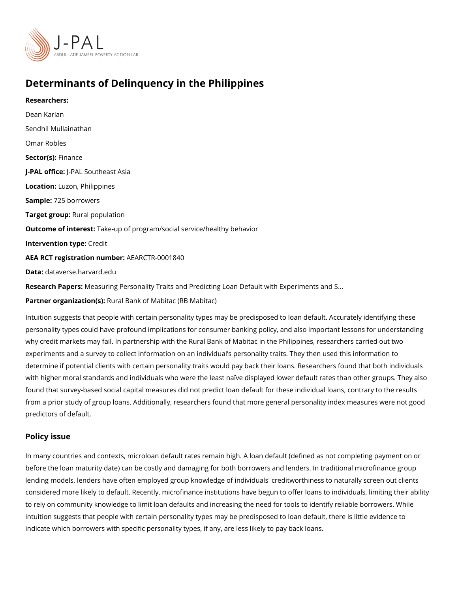# Determinants of Delinquency in the Philippines

Researchers: [Dean Ka](https://www.povertyactionlab.org/person/karlan)rlan [Sendhil Mulla](https://www.povertyactionlab.org/person/mullainathan)inathan Omar Robles Sector(Fsi)nance J-PAL offlicReAL Southeast Asia Locatiohuzon, Philippines Sample: 25 borrowers Target gro**Rpral** population Outcome of intelrast: up of program/social service/healthy behavior Intervention topedit AEA RCT registration ArEuAnRbCeTR-0001840 Data[dataverse.harv](https://dataverse.harvard.edu/dataset.xhtml?persistentId=doi:10.7910/DVN/0KHZMI)ard.edu Research Pa $M$ erassuring Personality Traits and Predicting Loan Default with Experiments and

Partner organizat Roum (as) Bank of Mabitac (RB Mabitac)

Intuition suggests that people with certain personality types may be predisposed to loan  $\epsilon$ personality types could have profound implications for consumer banking policy, and also why credit markets may fail. In partnership with the Rural Bank of Mabitac in the Philippi experiments and a survey to collect information on an individual s personality traits. The determine if potential clients with certain personality traits would pay back their loans. R with higher moral standards and individuals who were the least naïve displayed lower def found that survey-based social capital measures did not predict loan default for these ind from a prior study of group loans. Additionally, researchers found that more general personal predictors of default.

#### Policy issue

In many countries and contexts, microloan default rates remain high. A loan default (defin before the loan maturity date) can be costly and damaging for both borrowers and lenders lending models, lenders have often employed group knowledge of individuals' creditworthi considered more likely to default. Recently, microfinance institutions have begun to offer to rely on community knowledge to limit loan defaults and increasing the need for tools to intuition suggests that people with certain personality types may be predisposed to loan d indicate which borrowers with specific personality types, if any, are less likely to pay bao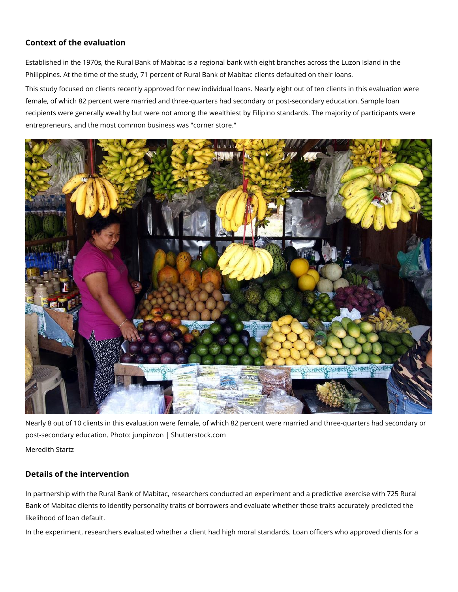## **Context of the evaluation**

Established in the 1970s, the Rural Bank of Mabitac is a regional bank with eight branches across the Luzon Island in the Philippines. At the time of the study, 71 percent of Rural Bank of Mabitac clients defaulted on their loans.

This study focused on clients recently approved for new individual loans. Nearly eight out of ten clients in this evaluation were female, of which 82 percent were married and three-quarters had secondary or post-secondary education. Sample loan recipients were generally wealthy but were not among the wealthiest by Filipino standards. The majority of participants were entrepreneurs, and the most common business was "corner store."



Nearly 8 out of 10 clients in this evaluation were female, of which 82 percent were married and three-quarters had secondary or post-secondary education. Photo: junpinzon | Shutterstock.com Meredith Startz

### **Details of the intervention**

In partnership with the Rural Bank of Mabitac, researchers conducted an experiment and a predictive exercise with 725 Rural Bank of Mabitac clients to identify personality traits of borrowers and evaluate whether those traits accurately predicted the likelihood of loan default.

In the experiment, researchers evaluated whether a client had high moral standards. Loan officers who approved clients for a